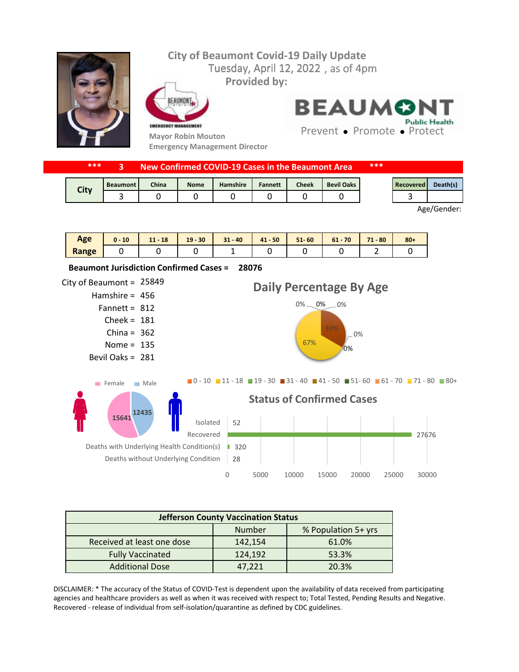## **City of Beaumont Covid-19 Daily Update** Tuesday, April 12, 2022, as of 4pm **Provided by:** FAIIMON **BEAUMONT** EMERGENCY MANAGEMENT **Mayor Robin Mouton**

**Emergency Management Director**

**Public Health** Prevent • Promote • Protect

|      | ***<br>New Confirmed COVID-19 Cases in the Beaumont Area |                 |              |             |          | ***            |       |                   |  |           |          |
|------|----------------------------------------------------------|-----------------|--------------|-------------|----------|----------------|-------|-------------------|--|-----------|----------|
| City |                                                          | <b>Beaumont</b> | <b>China</b> | <b>Nome</b> | Hamshire | <b>Fannett</b> | Cheek | <b>Bevil Oaks</b> |  | Recovered | Death(s) |
|      |                                                          |                 |              |             |          |                |       |                   |  |           |          |

Age/Gender:

| Age   | 10<br>u - | $11 - 18$ | $19 - 30$ | $31 - 40$ | $41 - 50$ | $51 - 60$ | $61 - 70$ | 74<br>$1 - 80$ | $80 +$ |
|-------|-----------|-----------|-----------|-----------|-----------|-----------|-----------|----------------|--------|
| Range |           |           |           |           |           |           |           |                |        |



| <b>Jefferson County Vaccination Status</b> |         |       |  |  |  |  |  |
|--------------------------------------------|---------|-------|--|--|--|--|--|
| % Population 5+ yrs<br><b>Number</b>       |         |       |  |  |  |  |  |
| Received at least one dose                 | 142,154 | 61.0% |  |  |  |  |  |
| <b>Fully Vaccinated</b>                    | 124,192 | 53.3% |  |  |  |  |  |
| <b>Additional Dose</b>                     | 47.221  | 20.3% |  |  |  |  |  |

DISCLAIMER: \* The accuracy of the Status of COVID-Test is dependent upon the availability of data received from participating agencies and healthcare providers as well as when it was received with respect to; Total Tested, Pending Results and Negative. Recovered - release of individual from self-isolation/quarantine as defined by CDC guidelines.